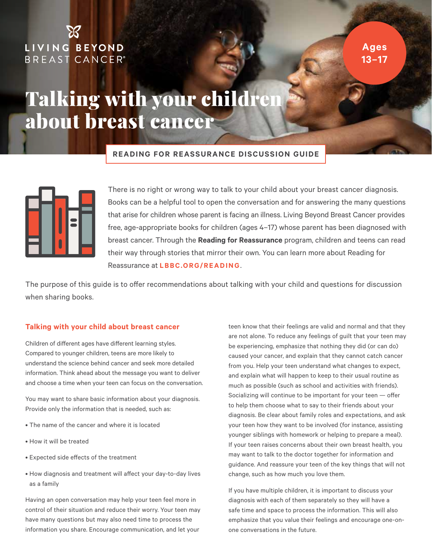### LIVING BEYOND **BREAST CANCER®**

**Ages 13–17**

## Talking with your childre about breast cancer

**READING FOR REASSURANCE DISCUSSION GUIDE**



There is no right or wrong way to talk to your child about your breast cancer diagnosis. Books can be a helpful tool to open the conversation and for answering the many questions that arise for children whose parent is facing an illness. Living Beyond Breast Cancer provides free, age-appropriate books for children (ages 4–17) whose parent has been diagnosed with breast cancer. Through the **Reading for Reassurance** program, children and teens can read their way through stories that mirror their own. You can learn more about Reading for Reassurance at **[LBBC.ORG/READING](http://lbbc.Org/reading)**.

The purpose of this guide is to offer recommendations about talking with your child and questions for discussion when sharing books.

#### **Talking with your child about breast cancer**

Children of different ages have different learning styles. Compared to younger children, teens are more likely to understand the science behind cancer and seek more detailed information. Think ahead about the message you want to deliver and choose a time when your teen can focus on the conversation.

You may want to share basic information about your diagnosis. Provide only the information that is needed, such as:

- The name of the cancer and where it is located
- How it will be treated
- Expected side effects of the treatment
- How diagnosis and treatment will affect your day-to-day lives as a family

Having an open conversation may help your teen feel more in control of their situation and reduce their worry. Your teen may have many questions but may also need time to process the information you share. Encourage communication, and let your

teen know that their feelings are valid and normal and that they are not alone. To reduce any feelings of guilt that your teen may be experiencing, emphasize that nothing they did (or can do) caused your cancer, and explain that they cannot catch cancer from you. Help your teen understand what changes to expect, and explain what will happen to keep to their usual routine as much as possible (such as school and activities with friends). Socializing will continue to be important for your teen — offer to help them choose what to say to their friends about your diagnosis. Be clear about family roles and expectations, and ask your teen how they want to be involved (for instance, assisting younger siblings with homework or helping to prepare a meal). If your teen raises concerns about their own breast health, you may want to talk to the doctor together for information and guidance. And reassure your teen of the key things that will not change, such as how much you love them.

If you have multiple children, it is important to discuss your diagnosis with each of them separately so they will have a safe time and space to process the information. This will also emphasize that you value their feelings and encourage one-onone conversations in the future.